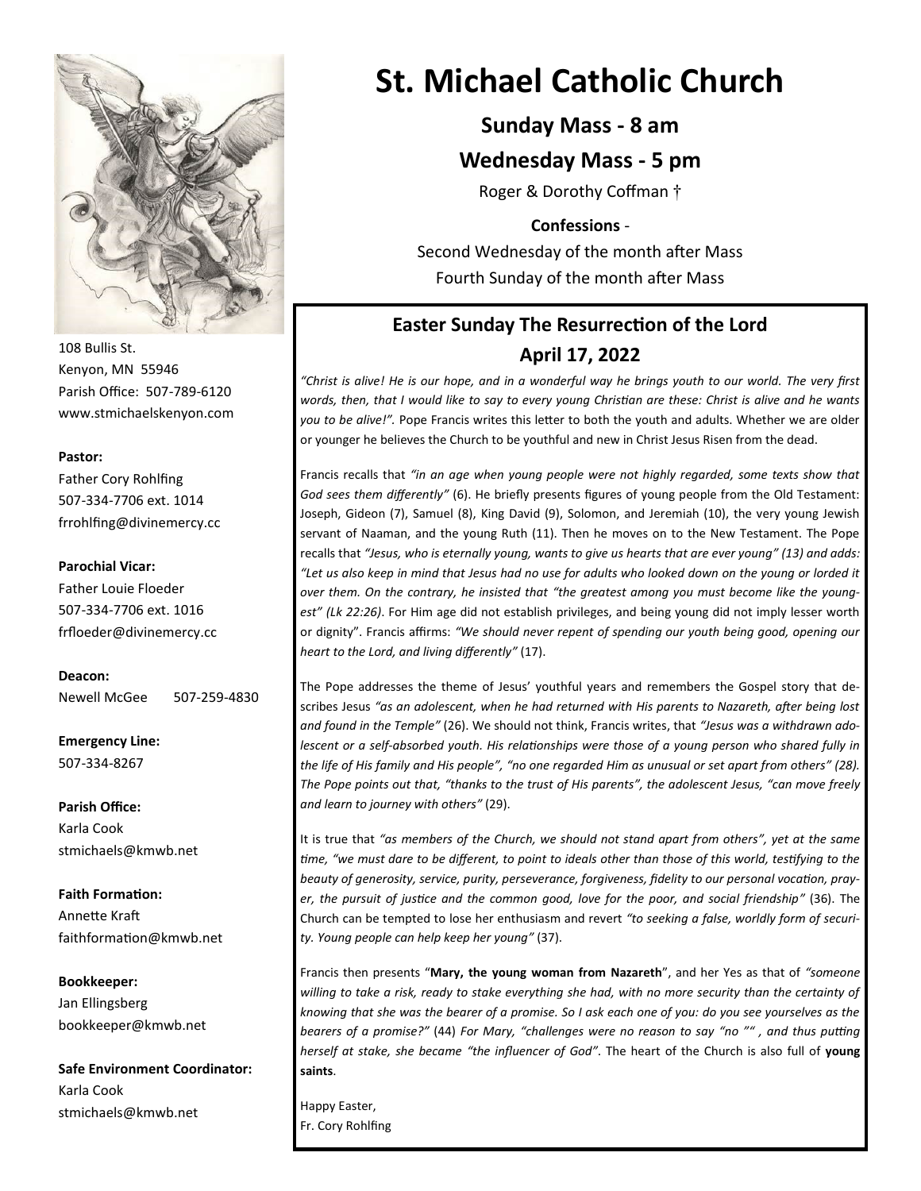

108 Bullis St. Kenyon, MN 55946 Parish Office: 507-789-6120 www.stmichaelskenyon.com

#### **Pastor:**

Father Cory Rohlfing 507-334-7706 ext. 1014 frrohlfing@divinemercy.cc

#### **Parochial Vicar:**

Father Louie Floeder 507-334-7706 ext. 1016 frfloeder@divinemercy.cc

**Deacon:**  Newell McGee 507-259-4830

**Emergency Line:** 507-334-8267

**Parish Office:**  Karla Cook stmichaels@kmwb.net

**Faith Formation:**  Annette Kraft faithformation@kmwb.net

**Bookkeeper:**  Jan Ellingsberg bookkeeper@kmwb.net

**Safe Environment Coordinator:** Karla Cook stmichaels@kmwb.net

# **St. Michael Catholic Church**

# **Sunday Mass - 8 am**

### **Wednesday Mass - 5 pm**

Roger & Dorothy Coffman †

### **Confessions** -

Second Wednesday of the month after Mass Fourth Sunday of the month after Mass

# **Easter Sunday The Resurrection of the Lord April 17, 2022**

*"Christ is alive! He is our hope, and in a wonderful way he brings youth to our world. The very first words, then, that I would like to say to every young Christian are these: Christ is alive and he wants you to be alive!".* Pope Francis writes this letter to both the youth and adults. Whether we are older or younger he believes the Church to be youthful and new in Christ Jesus Risen from the dead.

Francis recalls that *"in an age when young people were not highly regarded, some texts show that God sees them differently"* (6). He briefly presents figures of young people from the Old Testament: Joseph, Gideon (7), Samuel (8), King David (9), Solomon, and Jeremiah (10), the very young Jewish servant of Naaman, and the young Ruth (11). Then he moves on to the New Testament. The Pope recalls that *"Jesus, who is eternally young, wants to give us hearts that are ever young" (13) and adds: "Let us also keep in mind that Jesus had no use for adults who looked down on the young or lorded it over them. On the contrary, he insisted that "the greatest among you must become like the youngest" (Lk 22:26)*. For Him age did not establish privileges, and being young did not imply lesser worth or dignity". Francis affirms: *"We should never repent of spending our youth being good, opening our heart to the Lord, and living differently"* (17).

The Pope addresses the theme of Jesus' youthful years and remembers the Gospel story that describes Jesus *"as an adolescent, when he had returned with His parents to Nazareth, after being lost and found in the Temple"* (26). We should not think, Francis writes, that *"Jesus was a withdrawn adolescent or a self-absorbed youth. His relationships were those of a young person who shared fully in the life of His family and His people", "no one regarded Him as unusual or set apart from others" (28). The Pope points out that, "thanks to the trust of His parents", the adolescent Jesus, "can move freely and learn to journey with others"* (29).

It is true that *"as members of the Church, we should not stand apart from others", yet at the same time, "we must dare to be different, to point to ideals other than those of this world, testifying to the beauty of generosity, service, purity, perseverance, forgiveness, fidelity to our personal vocation, prayer, the pursuit of justice and the common good, love for the poor, and social friendship"* (36). The Church can be tempted to lose her enthusiasm and revert *"to seeking a false, worldly form of security. Young people can help keep her young"* (37).

Francis then presents "**Mary, the young woman from Nazareth**", and her Yes as that of *"someone willing to take a risk, ready to stake everything she had, with no more security than the certainty of knowing that she was the bearer of a promise. So I ask each one of you: do you see yourselves as the bearers of a promise?"* (44) *For Mary, "challenges were no reason to say "no "" , and thus putting herself at stake, she became "the influencer of God"*. The heart of the Church is also full of **young saints**.

Happy Easter, Fr. Cory Rohlfing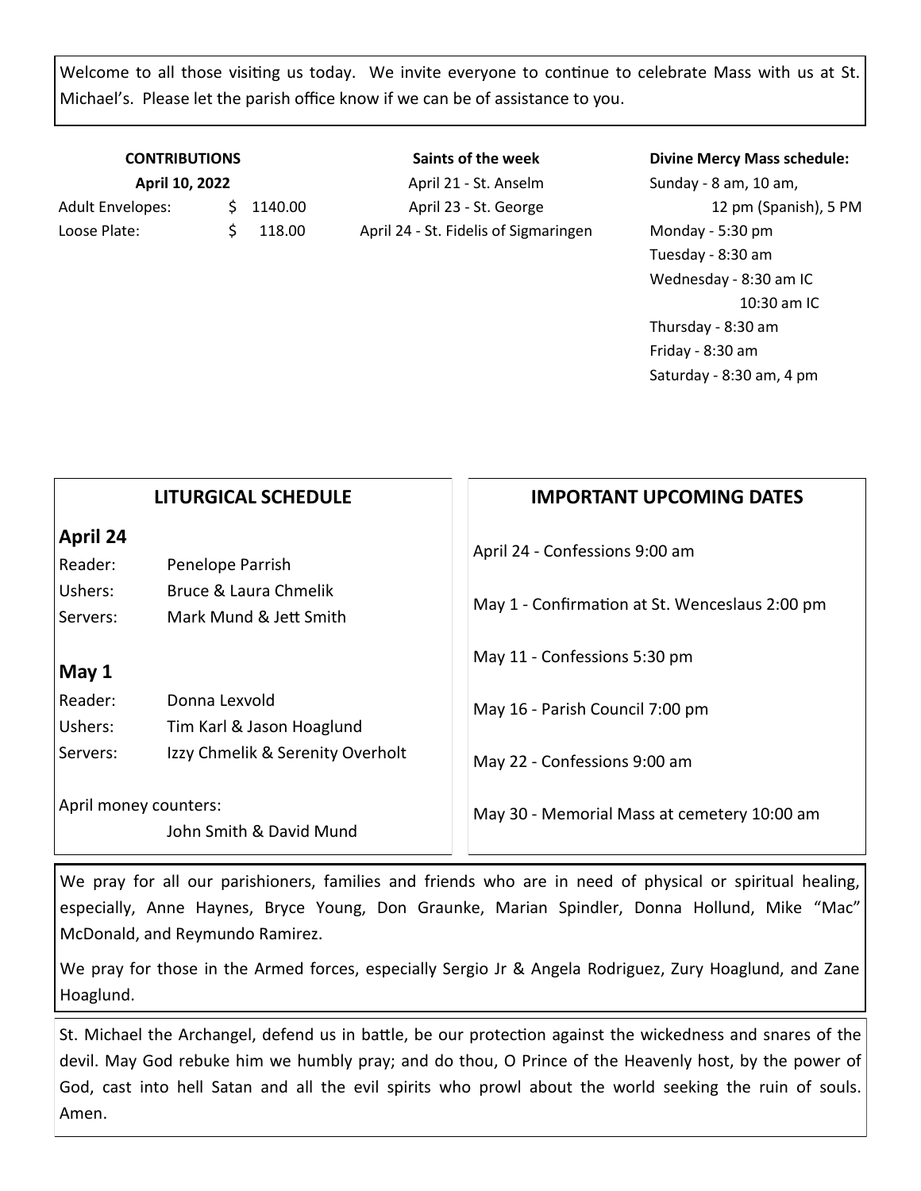Welcome to all those visiting us today. We invite everyone to continue to celebrate Mass with us at St. Michael's. Please let the parish office know if we can be of assistance to you.

# **CONTRIBUTIONS April 10, 2022**

Adult Envelopes:  $\frac{1}{2}$  1140.00 Loose Plate: \$ 118.00

**Saints of the week** April 21 - St. Anselm April 23 - St. George April 24 - St. Fidelis of Sigmaringen

### **Divine Mercy Mass schedule:**

Sunday - 8 am, 10 am, 12 pm (Spanish), 5 PM Monday - 5:30 pm Tuesday - 8:30 am Wednesday - 8:30 am IC 10:30 am IC Thursday - 8:30 am Friday - 8:30 am Saturday - 8:30 am, 4 pm

|                                                  | <b>LITURGICAL SCHEDULE</b>       | <b>IMPORTANT UPCOMING DATES</b>                |
|--------------------------------------------------|----------------------------------|------------------------------------------------|
| April 24                                         |                                  | April 24 - Confessions 9:00 am                 |
| Reader:                                          | Penelope Parrish                 |                                                |
| Ushers:                                          | Bruce & Laura Chmelik            | May 1 - Confirmation at St. Wenceslaus 2:00 pm |
| Servers:                                         | Mark Mund & Jett Smith           |                                                |
|                                                  |                                  | May 11 - Confessions 5:30 pm                   |
| May 1                                            |                                  |                                                |
| Reader:                                          | Donna Lexvold                    | May 16 - Parish Council 7:00 pm                |
| Ushers:                                          | Tim Karl & Jason Hoaglund        |                                                |
| Servers:                                         | Izzy Chmelik & Serenity Overholt | May 22 - Confessions 9:00 am                   |
| April money counters:<br>John Smith & David Mund |                                  | May 30 - Memorial Mass at cemetery 10:00 am    |

We pray for all our parishioners, families and friends who are in need of physical or spiritual healing, especially, Anne Haynes, Bryce Young, Don Graunke, Marian Spindler, Donna Hollund, Mike "Mac" McDonald, and Reymundo Ramirez.

We pray for those in the Armed forces, especially Sergio Jr & Angela Rodriguez, Zury Hoaglund, and Zane Hoaglund.

St. Michael the Archangel, defend us in battle, be our protection against the wickedness and snares of the devil. May God rebuke him we humbly pray; and do thou, O Prince of the Heavenly host, by the power of God, cast into hell Satan and all the evil spirits who prowl about the world seeking the ruin of souls. Amen.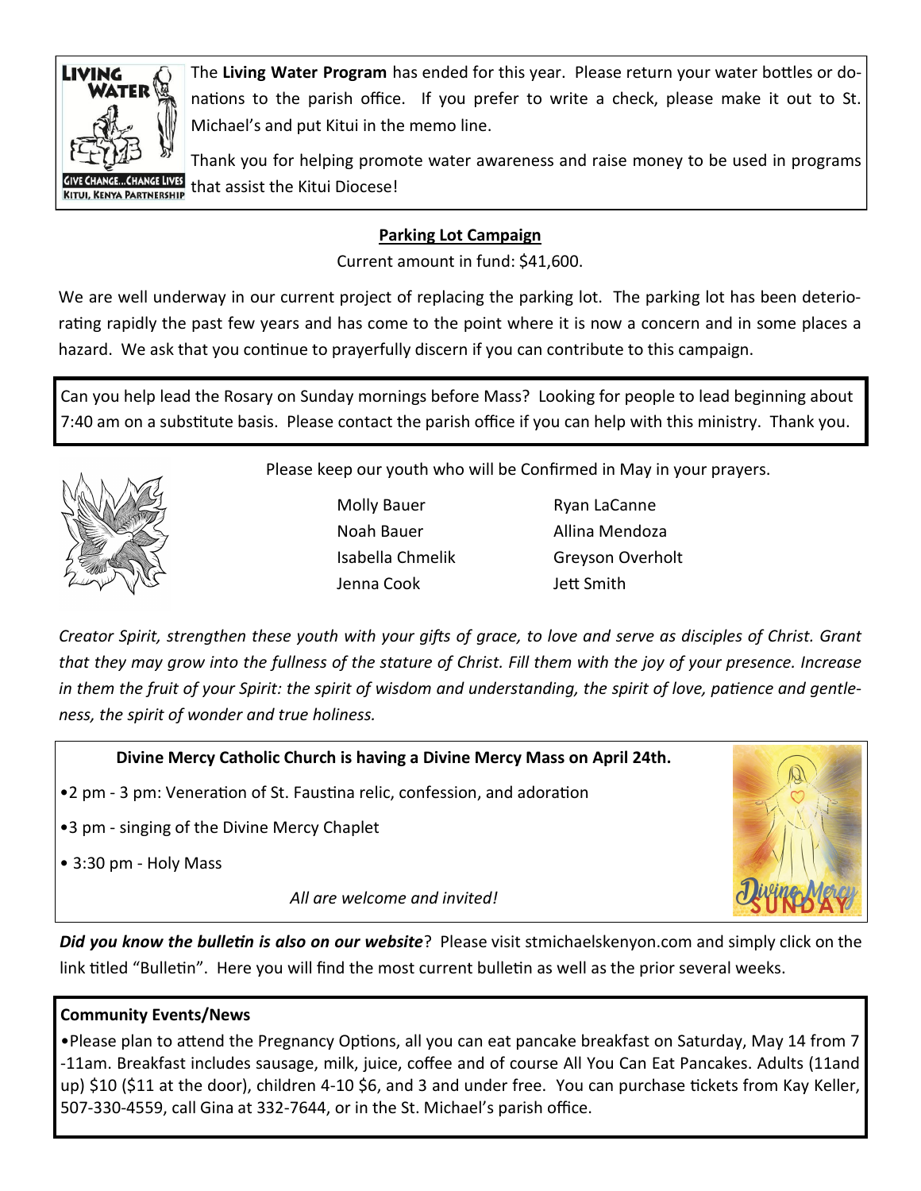

The **Living Water Program** has ended for this year. Please return your water bottles or donations to the parish office. If you prefer to write a check, please make it out to St. Michael's and put Kitui in the memo line.

Thank you for helping promote water awareness and raise money to be used in programs that assist the Kitui Diocese!

## **Parking Lot Campaign**

Current amount in fund: \$41,600.

We are well underway in our current project of replacing the parking lot. The parking lot has been deteriorating rapidly the past few years and has come to the point where it is now a concern and in some places a hazard. We ask that you continue to prayerfully discern if you can contribute to this campaign.

Can you help lead the Rosary on Sunday mornings before Mass? Looking for people to lead beginning about 7:40 am on a substitute basis. Please contact the parish office if you can help with this ministry. Thank you.



Please keep our youth who will be Confirmed in May in your prayers.

Molly Bauer Ryan LaCanne Noah Bauer **Allina Mendoza** Jenna Cook Jett Smith

Isabella Chmelik Greyson Overholt

*Creator Spirit, strengthen these youth with your gifts of grace, to love and serve as disciples of Christ. Grant that they may grow into the fullness of the stature of Christ. Fill them with the joy of your presence. Increase in them the fruit of your Spirit: the spirit of wisdom and understanding, the spirit of love, patience and gentleness, the spirit of wonder and true holiness.* 

**Divine Mercy Catholic Church is having a Divine Mercy Mass on April 24th.** 

•2 pm - 3 pm: Veneration of St. Faustina relic, confession, and adoration

- •3 pm singing of the Divine Mercy Chaplet
- 3:30 pm Holy Mass

*All are welcome and invited!*



*Did you know the bulletin is also on our website*? Please visit stmichaelskenyon.com and simply click on the link titled "Bulletin". Here you will find the most current bulletin as well as the prior several weeks.

### **Community Events/News**

•Please plan to attend the Pregnancy Options, all you can eat pancake breakfast on Saturday, May 14 from 7 -11am. Breakfast includes sausage, milk, juice, coffee and of course All You Can Eat Pancakes. Adults (11and up) \$10 (\$11 at the door), children 4-10 \$6, and 3 and under free. You can purchase tickets from Kay Keller, 507-330-4559, call Gina at 332-7644, or in the St. Michael's parish office.